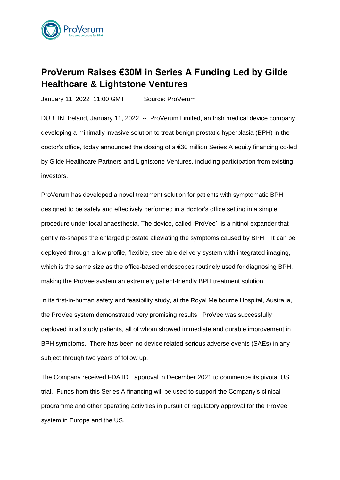

# **ProVerum Raises €30M in Series A Funding Led by Gilde Healthcare & Lightstone Ventures**

January 11, 2022 11:00 GMT Source: ProVerum

DUBLIN, Ireland, January 11, 2022 -- ProVerum Limited, an Irish medical device company developing a minimally invasive solution to treat benign prostatic hyperplasia (BPH) in the doctor's office, today announced the closing of a €30 million Series A equity financing co-led by Gilde Healthcare Partners and Lightstone Ventures, including participation from existing investors.

ProVerum has developed a novel treatment solution for patients with symptomatic BPH designed to be safely and effectively performed in a doctor's office setting in a simple procedure under local anaesthesia. The device, called 'ProVee', is a nitinol expander that gently re-shapes the enlarged prostate alleviating the symptoms caused by BPH. It can be deployed through a low profile, flexible, steerable delivery system with integrated imaging, which is the same size as the office-based endoscopes routinely used for diagnosing BPH, making the ProVee system an extremely patient-friendly BPH treatment solution.

In its first-in-human safety and feasibility study, at the Royal Melbourne Hospital, Australia, the ProVee system demonstrated very promising results. ProVee was successfully deployed in all study patients, all of whom showed immediate and durable improvement in BPH symptoms. There has been no device related serious adverse events (SAEs) in any subject through two years of follow up.

The Company received FDA IDE approval in December 2021 to commence its pivotal US trial. Funds from this Series A financing will be used to support the Company's clinical programme and other operating activities in pursuit of regulatory approval for the ProVee system in Europe and the US.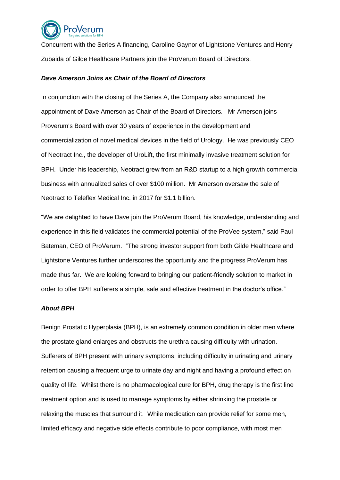

Concurrent with the Series A financing, Caroline Gaynor of Lightstone Ventures and Henry Zubaida of Gilde Healthcare Partners join the ProVerum Board of Directors.

## *Dave Amerson Joins as Chair of the Board of Directors*

In conjunction with the closing of the Series A, the Company also announced the appointment of Dave Amerson as Chair of the Board of Directors. Mr Amerson joins Proverum's Board with over 30 years of experience in the development and commercialization of novel medical devices in the field of Urology. He was previously CEO of Neotract Inc., the developer of UroLift, the first minimally invasive treatment solution for BPH. Under his leadership, Neotract grew from an R&D startup to a high growth commercial business with annualized sales of over \$100 million. Mr Amerson oversaw the sale of Neotract to Teleflex Medical Inc. in 2017 for \$1.1 billion.

"We are delighted to have Dave join the ProVerum Board, his knowledge, understanding and experience in this field validates the commercial potential of the ProVee system," said Paul Bateman, CEO of ProVerum. "The strong investor support from both Gilde Healthcare and Lightstone Ventures further underscores the opportunity and the progress ProVerum has made thus far. We are looking forward to bringing our patient-friendly solution to market in order to offer BPH sufferers a simple, safe and effective treatment in the doctor's office."

#### *About BPH*

Benign Prostatic Hyperplasia (BPH), is an extremely common condition in older men where the prostate gland enlarges and obstructs the urethra causing difficulty with urination. Sufferers of BPH present with urinary symptoms, including difficulty in urinating and urinary retention causing a frequent urge to urinate day and night and having a profound effect on quality of life. Whilst there is no pharmacological cure for BPH, drug therapy is the first line treatment option and is used to manage symptoms by either shrinking the prostate or relaxing the muscles that surround it. While medication can provide relief for some men, limited efficacy and negative side effects contribute to poor compliance, with most men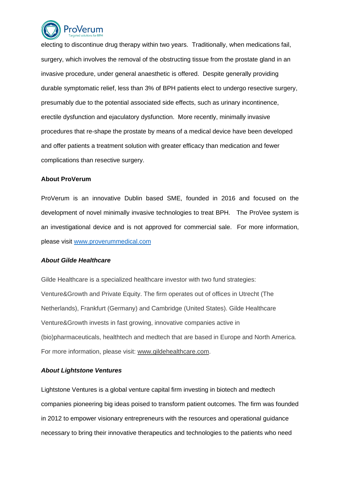

electing to discontinue drug therapy within two years. Traditionally, when medications fail, surgery, which involves the removal of the obstructing tissue from the prostate gland in an invasive procedure, under general anaesthetic is offered. Despite generally providing durable symptomatic relief, less than 3% of BPH patients elect to undergo resective surgery, presumably due to the potential associated side effects, such as urinary incontinence, erectile dysfunction and ejaculatory dysfunction. More recently, minimally invasive procedures that re-shape the prostate by means of a medical device have been developed and offer patients a treatment solution with greater efficacy than medication and fewer complications than resective surgery.

#### **About ProVerum**

ProVerum is an innovative Dublin based SME, founded in 2016 and focused on the development of novel minimally invasive technologies to treat BPH. The ProVee system is an investigational device and is not approved for commercial sale. For more information, please visit [www.proverummedical.com](http://www.proverummedical.com/)

## *About Gilde Healthcare*

Gilde Healthcare is a specialized healthcare investor with two fund strategies: Venture&Growth and Private Equity. The firm operates out of offices in Utrecht (The Netherlands), Frankfurt (Germany) and Cambridge (United States). Gilde Healthcare Venture&Growth invests in fast growing, innovative companies active in (bio)pharmaceuticals, healthtech and medtech that are based in Europe and North America. For more information, please visit: [www.gildehealthcare.com.](https://r20.rs6.net/tn.jsp?f=001n23F48yy28AxMHgLfBuq5PKX3TE_Ubt-EkFh7eJkYKp_V-txygT_J1rJCOJouNJw7GFxjVimXgZFMMoZ1G_uz6GymEQfCXIMsfj8riPZal5ZDaCVwyxFo7tft2gT-DqNQ4Q31-Gh6w7idiXoMOwuO-ozkXXOCYjc&c=IhV2ScPLYigEXcieLZMhVsCLv__F1eBk4EH9wjksFfLnxC6rHVV2iA==&ch=WfiBgQShG0aCMlba8EUTPPeud9km6l-eL2rxQjtatAETWTo-WFHVeQ==)

#### *About Lightstone Ventures*

Lightstone Ventures is a global venture capital firm investing in biotech and medtech companies pioneering big ideas poised to transform patient outcomes. The firm was founded in 2012 to empower visionary entrepreneurs with the resources and operational guidance necessary to bring their innovative therapeutics and technologies to the patients who need